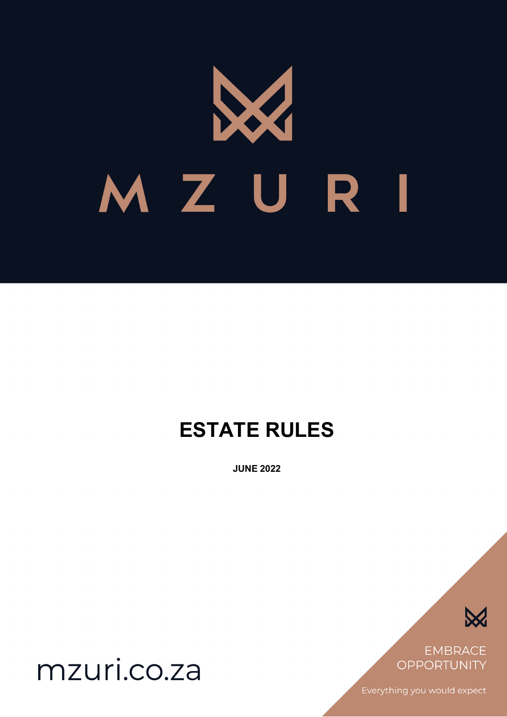

# **ESTATE RULES**

**JUNE 2022**



**EMBRACE** OPPORTUNITY

Everything you would expect

mzuri.co.za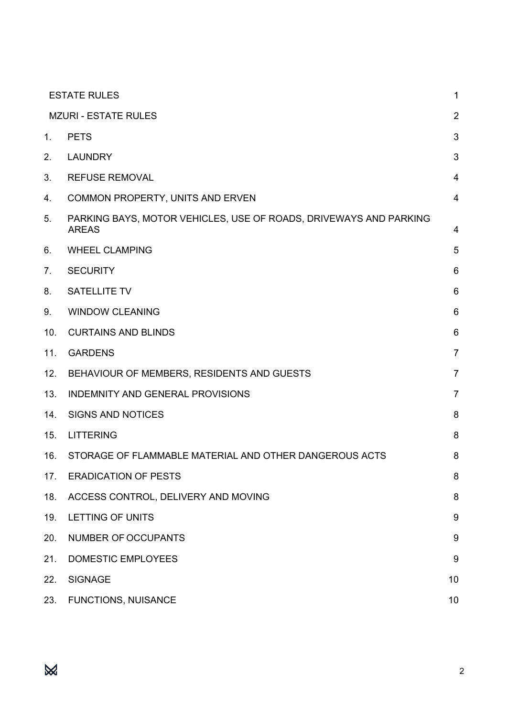|                | <b>ESTATE RULES</b>                                                               | 1              |
|----------------|-----------------------------------------------------------------------------------|----------------|
|                | <b>MZURI - ESTATE RULES</b>                                                       | $\overline{2}$ |
| 1.             | <b>PETS</b>                                                                       | 3              |
| 2.             | <b>LAUNDRY</b>                                                                    | 3              |
| 3.             | <b>REFUSE REMOVAL</b>                                                             | 4              |
| 4.             | COMMON PROPERTY, UNITS AND ERVEN                                                  | $\overline{4}$ |
| 5.             | PARKING BAYS, MOTOR VEHICLES, USE OF ROADS, DRIVEWAYS AND PARKING<br><b>AREAS</b> | 4              |
| 6.             | <b>WHEEL CLAMPING</b>                                                             | 5              |
| 7 <sub>1</sub> | <b>SECURITY</b>                                                                   | 6              |
| 8.             | <b>SATELLITE TV</b>                                                               | 6              |
| 9.             | <b>WINDOW CLEANING</b>                                                            | 6              |
| 10.            | <b>CURTAINS AND BLINDS</b>                                                        | 6              |
| 11.            | <b>GARDENS</b>                                                                    | $\overline{7}$ |
| 12.            | BEHAVIOUR OF MEMBERS, RESIDENTS AND GUESTS                                        | $\overline{7}$ |
| 13.            | <b>INDEMNITY AND GENERAL PROVISIONS</b>                                           | $\overline{7}$ |
| 14.            | <b>SIGNS AND NOTICES</b>                                                          | 8              |
| 15.            | <b>LITTERING</b>                                                                  | 8              |
| 16.            | STORAGE OF FLAMMABLE MATERIAL AND OTHER DANGEROUS ACTS                            | 8              |
| 17.            | <b>ERADICATION OF PESTS</b>                                                       | 8              |
| 18.            | ACCESS CONTROL, DELIVERY AND MOVING                                               | 8              |
| 19.            | <b>LETTING OF UNITS</b>                                                           | 9              |
| 20.            | <b>NUMBER OF OCCUPANTS</b>                                                        | 9              |
| 21.            | <b>DOMESTIC EMPLOYEES</b>                                                         | 9              |
| 22.            | <b>SIGNAGE</b>                                                                    | 10             |
| 23.            | <b>FUNCTIONS, NUISANCE</b>                                                        | 10             |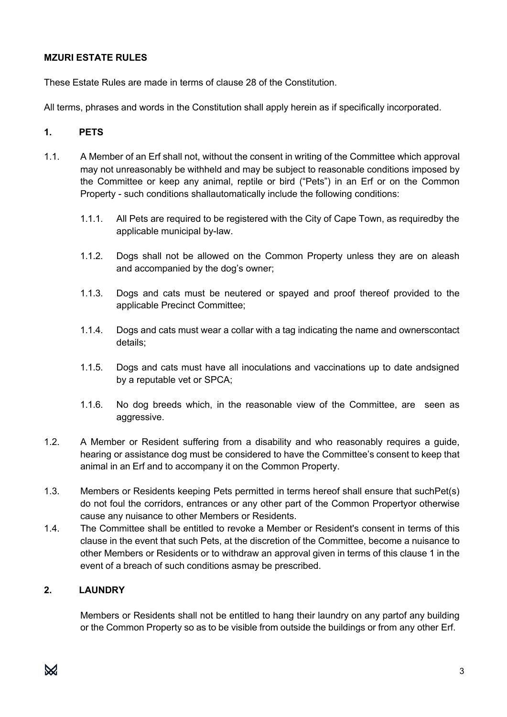## **MZURI ESTATE RULES**

These Estate Rules are made in terms of clause 28 of the Constitution.

All terms, phrases and words in the Constitution shall apply herein as if specifically incorporated.

## **1. PETS**

- 1.1. A Member of an Erf shall not, without the consent in writing of the Committee which approval may not unreasonably be withheld and may be subject to reasonable conditions imposed by the Committee or keep any animal, reptile or bird ("Pets") in an Erf or on the Common Property - such conditions shallautomatically include the following conditions:
	- 1.1.1. All Pets are required to be registered with the City of Cape Town, as requiredby the applicable municipal by-law.
	- 1.1.2. Dogs shall not be allowed on the Common Property unless they are on aleash and accompanied by the dog's owner;
	- 1.1.3. Dogs and cats must be neutered or spayed and proof thereof provided to the applicable Precinct Committee;
	- 1.1.4. Dogs and cats must wear a collar with a tag indicating the name and ownerscontact details;
	- 1.1.5. Dogs and cats must have all inoculations and vaccinations up to date andsigned by a reputable vet or SPCA;
	- 1.1.6. No dog breeds which, in the reasonable view of the Committee, are seen as aggressive.
- 1.2. A Member or Resident suffering from a disability and who reasonably requires a guide, hearing or assistance dog must be considered to have the Committee's consent to keep that animal in an Erf and to accompany it on the Common Property.
- 1.3. Members or Residents keeping Pets permitted in terms hereof shall ensure that suchPet(s) do not foul the corridors, entrances or any other part of the Common Propertyor otherwise cause any nuisance to other Members or Residents.
- 1.4. The Committee shall be entitled to revoke a Member or Resident's consent in terms of this clause in the event that such Pets, at the discretion of the Committee, become a nuisance to other Members or Residents or to withdraw an approval given in terms of this clause 1 in the event of a breach of such conditions asmay be prescribed.

## **2. LAUNDRY**

Members or Residents shall not be entitled to hang their laundry on any partof any building or the Common Property so as to be visible from outside the buildings or from any other Erf.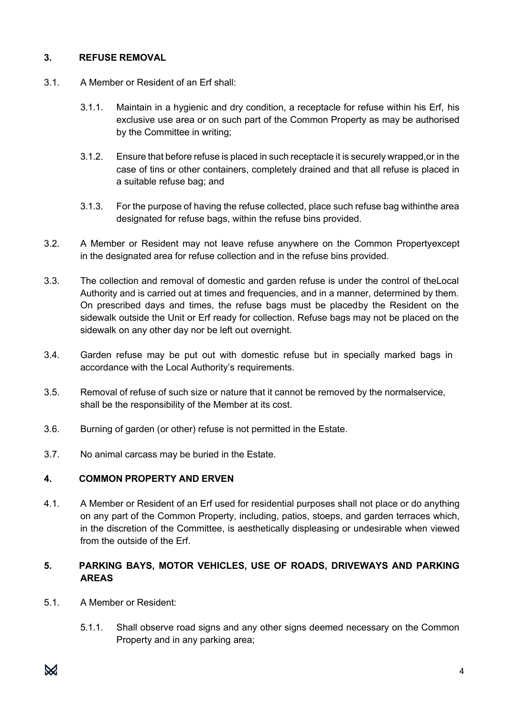## **3. REFUSE REMOVAL**

- 3.1. A Member or Resident of an Erf shall:
	- 3.1.1. Maintain in a hygienic and dry condition, a receptacle for refuse within his Erf, his exclusive use area or on such part of the Common Property as may be authorised by the Committee in writing;
	- 3.1.2. Ensure that before refuse is placed in such receptacle it is securely wrapped,or in the case of tins or other containers, completely drained and that all refuse is placed in a suitable refuse bag; and
	- 3.1.3. For the purpose of having the refuse collected, place such refuse bag withinthe area designated for refuse bags, within the refuse bins provided.
- 3.2. A Member or Resident may not leave refuse anywhere on the Common Propertyexcept in the designated area for refuse collection and in the refuse bins provided.
- 3.3. The collection and removal of domestic and garden refuse is under the control of theLocal Authority and is carried out at times and frequencies, and in a manner, determined by them. On prescribed days and times, the refuse bags must be placedby the Resident on the sidewalk outside the Unit or Erf ready for collection. Refuse bags may not be placed on the sidewalk on any other day nor be left out overnight.
- 3.4. Garden refuse may be put out with domestic refuse but in specially marked bags in accordance with the Local Authority's requirements.
- 3.5. Removal of refuse of such size or nature that it cannot be removed by the normalservice, shall be the responsibility of the Member at its cost.
- 3.6. Burning of garden (or other) refuse is not permitted in the Estate.
- 3.7. No animal carcass may be buried in the Estate.

## **4. COMMON PROPERTY AND ERVEN**

4.1. A Member or Resident of an Erf used for residential purposes shall not place or do anything on any part of the Common Property, including, patios, stoeps, and garden terraces which, in the discretion of the Committee, is aesthetically displeasing or undesirable when viewed from the outside of the Erf.

## **5. PARKING BAYS, MOTOR VEHICLES, USE OF ROADS, DRIVEWAYS AND PARKING AREAS**

- 5.1. A Member or Resident:
	- 5.1.1. Shall observe road signs and any other signs deemed necessary on the Common Property and in any parking area;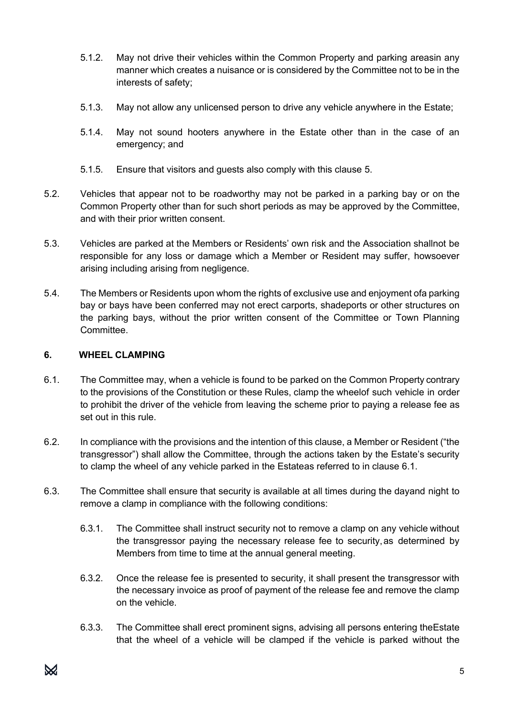- 5.1.2. May not drive their vehicles within the Common Property and parking areasin any manner which creates a nuisance or is considered by the Committee not to be in the interests of safety;
- 5.1.3. May not allow any unlicensed person to drive any vehicle anywhere in the Estate;
- 5.1.4. May not sound hooters anywhere in the Estate other than in the case of an emergency; and
- 5.1.5. Ensure that visitors and guests also comply with this clause 5.
- 5.2. Vehicles that appear not to be roadworthy may not be parked in a parking bay or on the Common Property other than for such short periods as may be approved by the Committee, and with their prior written consent.
- 5.3. Vehicles are parked at the Members or Residents' own risk and the Association shallnot be responsible for any loss or damage which a Member or Resident may suffer, howsoever arising including arising from negligence.
- 5.4. The Members or Residents upon whom the rights of exclusive use and enjoyment ofa parking bay or bays have been conferred may not erect carports, shadeports or other structures on the parking bays, without the prior written consent of the Committee or Town Planning Committee.

## **6. WHEEL CLAMPING**

- 6.1. The Committee may, when a vehicle is found to be parked on the Common Property contrary to the provisions of the Constitution or these Rules, clamp the wheelof such vehicle in order to prohibit the driver of the vehicle from leaving the scheme prior to paying a release fee as set out in this rule.
- 6.2. In compliance with the provisions and the intention of this clause, a Member or Resident ("the transgressor") shall allow the Committee, through the actions taken by the Estate's security to clamp the wheel of any vehicle parked in the Estateas referred to in clause 6.1.
- 6.3. The Committee shall ensure that security is available at all times during the dayand night to remove a clamp in compliance with the following conditions:
	- 6.3.1. The Committee shall instruct security not to remove a clamp on any vehicle without the transgressor paying the necessary release fee to security,as determined by Members from time to time at the annual general meeting.
	- 6.3.2. Once the release fee is presented to security, it shall present the transgressor with the necessary invoice as proof of payment of the release fee and remove the clamp on the vehicle.
	- 6.3.3. The Committee shall erect prominent signs, advising all persons entering theEstate that the wheel of a vehicle will be clamped if the vehicle is parked without the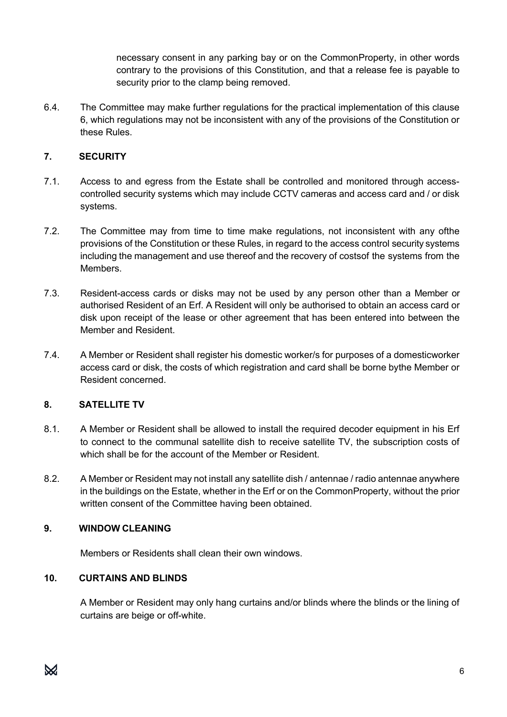necessary consent in any parking bay or on the CommonProperty, in other words contrary to the provisions of this Constitution, and that a release fee is payable to security prior to the clamp being removed.

6.4. The Committee may make further regulations for the practical implementation of this clause 6, which regulations may not be inconsistent with any of the provisions of the Constitution or these Rules.

# **7. SECURITY**

- 7.1. Access to and egress from the Estate shall be controlled and monitored through accesscontrolled security systems which may include CCTV cameras and access card and / or disk systems.
- 7.2. The Committee may from time to time make regulations, not inconsistent with any ofthe provisions of the Constitution or these Rules, in regard to the access control security systems including the management and use thereof and the recovery of costsof the systems from the Members.
- 7.3. Resident-access cards or disks may not be used by any person other than a Member or authorised Resident of an Erf. A Resident will only be authorised to obtain an access card or disk upon receipt of the lease or other agreement that has been entered into between the Member and Resident.
- 7.4. A Member or Resident shall register his domestic worker/s for purposes of a domesticworker access card or disk, the costs of which registration and card shall be borne bythe Member or Resident concerned.

## **8. SATELLITE TV**

- 8.1. A Member or Resident shall be allowed to install the required decoder equipment in his Erf to connect to the communal satellite dish to receive satellite TV, the subscription costs of which shall be for the account of the Member or Resident.
- 8.2. A Member or Resident may not install any satellite dish / antennae / radio antennae anywhere in the buildings on the Estate, whether in the Erf or on the CommonProperty, without the prior written consent of the Committee having been obtained.

## **9. WINDOW CLEANING**

Members or Residents shall clean their own windows.

## **10. CURTAINS AND BLINDS**

A Member or Resident may only hang curtains and/or blinds where the blinds or the lining of curtains are beige or off-white.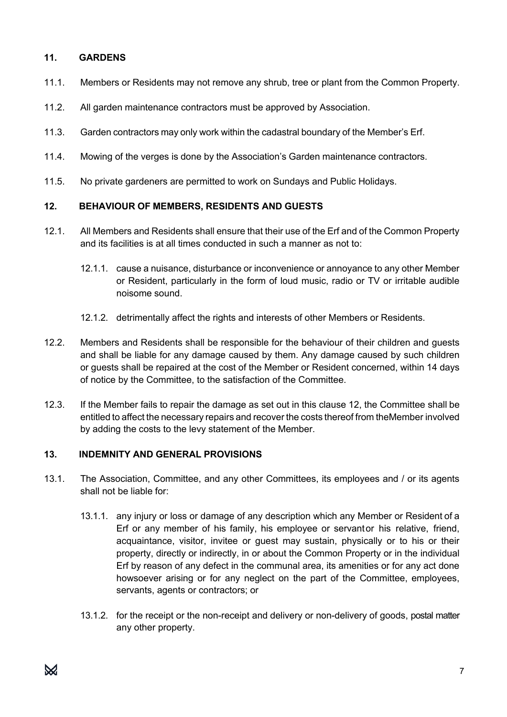# **11. GARDENS**

- 11.1. Members or Residents may not remove any shrub, tree or plant from the Common Property.
- 11.2. All garden maintenance contractors must be approved by Association.
- 11.3. Garden contractors may only work within the cadastral boundary of the Member's Erf.
- 11.4. Mowing of the verges is done by the Association's Garden maintenance contractors.
- 11.5. No private gardeners are permitted to work on Sundays and Public Holidays.

## **12. BEHAVIOUR OF MEMBERS, RESIDENTS AND GUESTS**

- 12.1. All Members and Residents shall ensure that their use of the Erf and of the Common Property and its facilities is at all times conducted in such a manner as not to:
	- 12.1.1. cause a nuisance, disturbance or inconvenience or annoyance to any other Member or Resident, particularly in the form of loud music, radio or TV or irritable audible noisome sound.
	- 12.1.2. detrimentally affect the rights and interests of other Members or Residents.
- 12.2. Members and Residents shall be responsible for the behaviour of their children and guests and shall be liable for any damage caused by them. Any damage caused by such children or guests shall be repaired at the cost of the Member or Resident concerned, within 14 days of notice by the Committee, to the satisfaction of the Committee.
- 12.3. If the Member fails to repair the damage as set out in this clause 12, the Committee shall be entitled to affect the necessary repairs and recover the costs thereof from theMember involved by adding the costs to the levy statement of the Member.

## **13. INDEMNITY AND GENERAL PROVISIONS**

- 13.1. The Association, Committee, and any other Committees, its employees and / or its agents shall not be liable for:
	- 13.1.1. any injury or loss or damage of any description which any Member or Resident of a Erf or any member of his family, his employee or servantor his relative, friend, acquaintance, visitor, invitee or guest may sustain, physically or to his or their property, directly or indirectly, in or about the Common Property or in the individual Erf by reason of any defect in the communal area, its amenities or for any act done howsoever arising or for any neglect on the part of the Committee, employees, servants, agents or contractors; or
	- 13.1.2. for the receipt or the non-receipt and delivery or non-delivery of goods, postal matter any other property.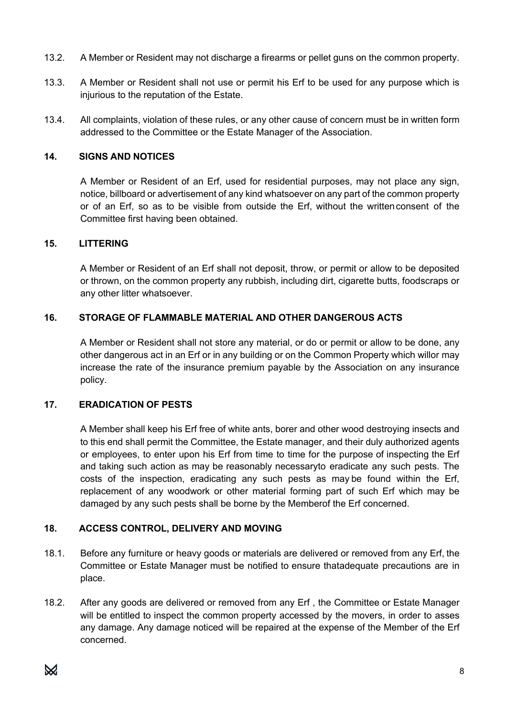- 13.2. A Member or Resident may not discharge a firearms or pellet guns on the common property.
- 13.3. A Member or Resident shall not use or permit his Erf to be used for any purpose which is injurious to the reputation of the Estate.
- 13.4. All complaints, violation of these rules, or any other cause of concern must be in written form addressed to the Committee or the Estate Manager of the Association.

#### **14. SIGNS AND NOTICES**

A Member or Resident of an Erf, used for residential purposes, may not place any sign, notice, billboard or advertisement of any kind whatsoever on any part of the common property or of an Erf, so as to be visible from outside the Erf, without the writtenconsent of the Committee first having been obtained.

#### **15. LITTERING**

A Member or Resident of an Erf shall not deposit, throw, or permit or allow to be deposited or thrown, on the common property any rubbish, including dirt, cigarette butts, foodscraps or any other litter whatsoever.

## **16. STORAGE OF FLAMMABLE MATERIAL AND OTHER DANGEROUS ACTS**

A Member or Resident shall not store any material, or do or permit or allow to be done, any other dangerous act in an Erf or in any building or on the Common Property which willor may increase the rate of the insurance premium payable by the Association on any insurance policy.

#### **17. ERADICATION OF PESTS**

A Member shall keep his Erf free of white ants, borer and other wood destroying insects and to this end shall permit the Committee, the Estate manager, and their duly authorized agents or employees, to enter upon his Erf from time to time for the purpose of inspecting the Erf and taking such action as may be reasonably necessaryto eradicate any such pests. The costs of the inspection, eradicating any such pests as may be found within the Erf, replacement of any woodwork or other material forming part of such Erf which may be damaged by any such pests shall be borne by the Memberof the Erf concerned.

## **18. ACCESS CONTROL, DELIVERY AND MOVING**

- 18.1. Before any furniture or heavy goods or materials are delivered or removed from any Erf, the Committee or Estate Manager must be notified to ensure thatadequate precautions are in place.
- 18.2. After any goods are delivered or removed from any Erf , the Committee or Estate Manager will be entitled to inspect the common property accessed by the movers, in order to asses any damage. Any damage noticed will be repaired at the expense of the Member of the Erf concerned.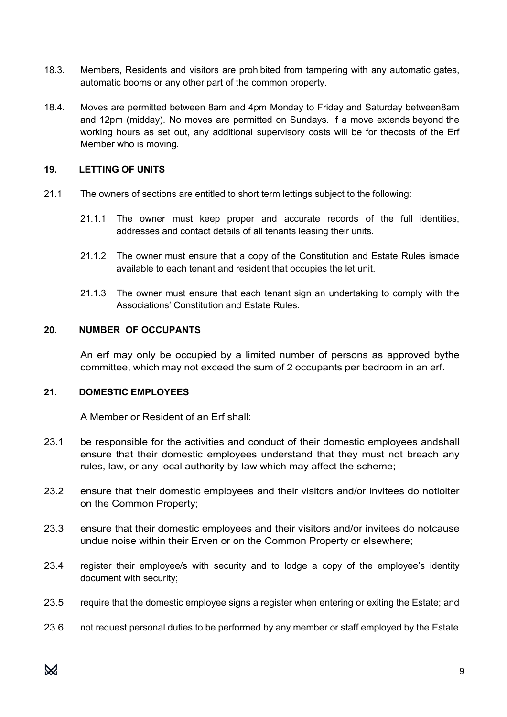- 18.3. Members, Residents and visitors are prohibited from tampering with any automatic gates, automatic booms or any other part of the common property.
- 18.4. Moves are permitted between 8am and 4pm Monday to Friday and Saturday between8am and 12pm (midday). No moves are permitted on Sundays. If a move extends beyond the working hours as set out, any additional supervisory costs will be for thecosts of the Erf Member who is moving.

## **19. LETTING OF UNITS**

- 21.1 The owners of sections are entitled to short term lettings subject to the following:
	- 21.1.1 The owner must keep proper and accurate records of the full identities, addresses and contact details of all tenants leasing their units.
	- 21.1.2 The owner must ensure that a copy of the Constitution and Estate Rules ismade available to each tenant and resident that occupies the let unit.
	- 21.1.3 The owner must ensure that each tenant sign an undertaking to comply with the Associations' Constitution and Estate Rules.

## **20. NUMBER OF OCCUPANTS**

An erf may only be occupied by a limited number of persons as approved bythe committee, which may not exceed the sum of 2 occupants per bedroom in an erf.

## **21. DOMESTIC EMPLOYEES**

A Member or Resident of an Erf shall:

- 23.1 be responsible for the activities and conduct of their domestic employees andshall ensure that their domestic employees understand that they must not breach any rules, law, or any local authority by-law which may affect the scheme;
- 23.2 ensure that their domestic employees and their visitors and/or invitees do notloiter on the Common Property;
- 23.3 ensure that their domestic employees and their visitors and/or invitees do notcause undue noise within their Erven or on the Common Property or elsewhere;
- 23.4 register their employee/s with security and to lodge a copy of the employee's identity document with security;
- 23.5 require that the domestic employee signs a register when entering or exiting the Estate; and
- 23.6 not request personal duties to be performed by any member or staff employed by the Estate.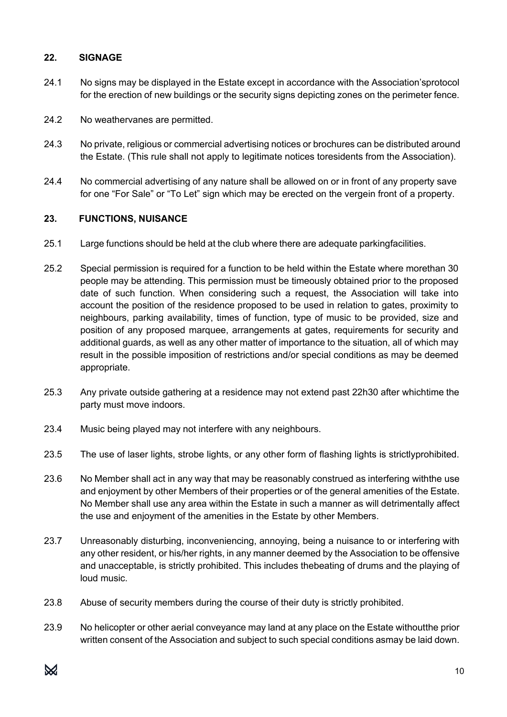## **22. SIGNAGE**

- 24.1 No signs may be displayed in the Estate except in accordance with the Association'sprotocol for the erection of new buildings or the security signs depicting zones on the perimeter fence.
- 24.2 No weathervanes are permitted.
- 24.3 No private, religious or commercial advertising notices or brochures can be distributed around the Estate. (This rule shall not apply to legitimate notices toresidents from the Association).
- 24.4 No commercial advertising of any nature shall be allowed on or in front of any property save for one "For Sale" or "To Let" sign which may be erected on the vergein front of a property.

## **23. FUNCTIONS, NUISANCE**

- 25.1 Large functions should be held at the club where there are adequate parkingfacilities.
- 25.2 Special permission is required for a function to be held within the Estate where morethan 30 people may be attending. This permission must be timeously obtained prior to the proposed date of such function. When considering such a request, the Association will take into account the position of the residence proposed to be used in relation to gates, proximity to neighbours, parking availability, times of function, type of music to be provided, size and position of any proposed marquee, arrangements at gates, requirements for security and additional guards, as well as any other matter of importance to the situation, all of which may result in the possible imposition of restrictions and/or special conditions as may be deemed appropriate.
- 25.3 Any private outside gathering at a residence may not extend past 22h30 after whichtime the party must move indoors.
- 23.4 Music being played may not interfere with any neighbours.
- 23.5 The use of laser lights, strobe lights, or any other form of flashing lights is strictlyprohibited.
- 23.6 No Member shall act in any way that may be reasonably construed as interfering withthe use and enjoyment by other Members of their properties or of the general amenities of the Estate. No Member shall use any area within the Estate in such a manner as will detrimentally affect the use and enjoyment of the amenities in the Estate by other Members.
- 23.7 Unreasonably disturbing, inconveniencing, annoying, being a nuisance to or interfering with any other resident, or his/her rights, in any manner deemed by the Association to be offensive and unacceptable, is strictly prohibited. This includes thebeating of drums and the playing of loud music.
- 23.8 Abuse of security members during the course of their duty is strictly prohibited.
- 23.9 No helicopter or other aerial conveyance may land at any place on the Estate withoutthe prior written consent of the Association and subject to such special conditions asmay be laid down.